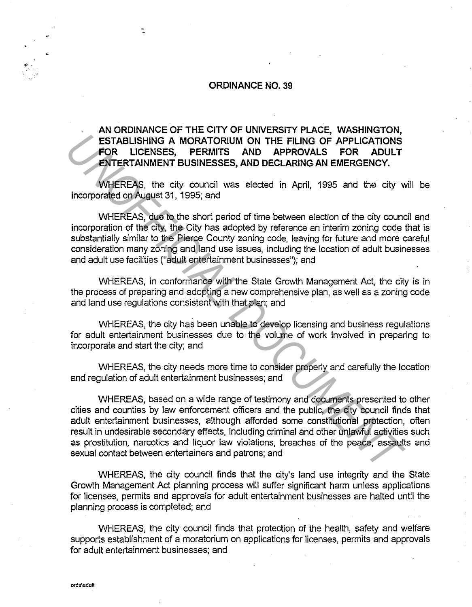## **ORDINANCE NO. 39**

## **AN ORDINANCE OF THE CITY OF UNIVERSITY PLACE, WASHINGTON, ESTABLISHING A MORATORIUM ON THE FILING OF APPLICATIONS FOR LICENSES, PERMITS AND APPROVALS FOR ADULT ENTERTAINMENT BUSINESSES, AND DECLARING AN EMERGENCY.**

WHEREAS, the city council was elected in April, 1995 and the city will be incorporated on August 31, 1995; and

WHEREAS, due to the short period of time between election of the city council and incorporation of the city, the City has adopted by reference an interim zoning code that is substantially similar to the Pierce County zoning code, leaving for future and more careful consideration many zoning and land use issues, including the location of adult businesses and adult use facilities ("adult entertainment businesses"); and

WHEREAS, in conformance with the State Growth Management Act, the city is in the process of preparing and adopting a new comprehensive plan, as well as a zoning code and land use regulations consistent with that plan; and

WHEREAS, the city has been unable to develop licensing and business regulations for adult entertainment businesses due to the volume of work involved in preparing to incorporate and start the city; and

WHEREAS, the city needs more time to consider properly and carefully the location and regulation of adult entertainment businesses; and

WHEREAS, based on a wide range of testimony and documents presented to other cities and counties by law enforcement officers and the public, the city council finds that adult entertainment businesses, although afforded some constitutional protection, often result in undesirable secondary effects, including criminal and other unlawful activities such as prostitution, narcotics and liquor law violations, breaches of the peace, assaults and sexual contact between entertainers and patrons; and **ESTABLISHING A MORATORIUM ON THE FILING OF APPLICATIONS**<br> **UNIFICIAL DESTABLISHING A MORATORIUM ON THE FILING OF APPLICATIONS**<br> **ENTERTAINMENT BUSINESSES, APENDITS AND APPROVALLS FOR ADULT WHEREAS, the city council was el** 

WHEREAS, the city council finds that the city's land use integrity and the State Growth Management Act planning process will suffer significant harm unless applications for licenses, permits and approvals for adult entertainment businesses are halted until the planning process is completed; and

WHEREAS, the city council finds that protection of the health, safety and welfare supports establishment of a moratorium on applications for licenses, permits and approvals for adult entertainment businesses; and

•·

t